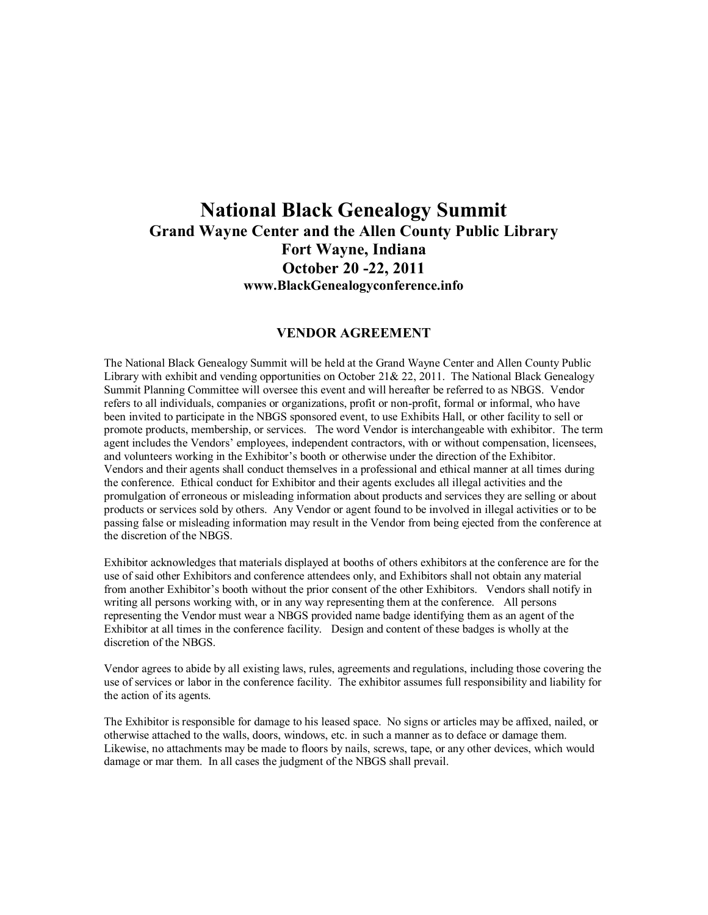# **National Black Genealogy Summit Grand Wayne Center and the Allen County Public Library Fort Wayne, Indiana October 20 22, 2011 www.BlackGenealogyconference.info**

## **VENDOR AGREEMENT**

The National Black Genealogy Summit will be held at the Grand Wayne Center and Allen County Public Library with exhibit and vending opportunities on October 21& 22, 2011. The National Black Genealogy Summit Planning Committee will oversee this event and will hereafter be referred to as NBGS. Vendor refers to all individuals, companies or organizations, profit or non-profit, formal or informal, who have been invited to participate in the NBGS sponsored event, to use Exhibits Hall, or other facility to sell or promote products, membership, or services. The word Vendor is interchangeable with exhibitor. The term agent includes the Vendors' employees, independent contractors, with or without compensation, licensees, and volunteers working in the Exhibitor's booth or otherwise under the direction of the Exhibitor. Vendors and their agents shall conduct themselves in a professional and ethical manner at all times during the conference. Ethical conduct for Exhibitor and their agents excludes all illegal activities and the promulgation of erroneous or misleading information about products and services they are selling or about products or services sold by others. Any Vendor or agent found to be involved in illegal activities or to be passing false or misleading information may result in the Vendor from being ejected from the conference at the discretion of the NBGS.

Exhibitor acknowledges that materials displayed at booths of others exhibitors at the conference are for the use of said other Exhibitors and conference attendees only, and Exhibitors shall not obtain any material from another Exhibitor's booth without the prior consent of the other Exhibitors. Vendors shall notify in writing all persons working with, or in any way representing them at the conference. All persons representing the Vendor must wear a NBGS provided name badge identifying them as an agent of the Exhibitor at all times in the conference facility. Design and content of these badges is wholly at the discretion of the NBGS.

Vendor agrees to abide by all existing laws, rules, agreements and regulations, including those covering the use of services or labor in the conference facility. The exhibitor assumes full responsibility and liability for the action of its agents.

The Exhibitor is responsible for damage to his leased space. No signs or articles may be affixed, nailed, or otherwise attached to the walls, doors, windows, etc. in such a manner as to deface or damage them. Likewise, no attachments may be made to floors by nails, screws, tape, or any other devices, which would damage or mar them. In all cases the judgment of the NBGS shall prevail.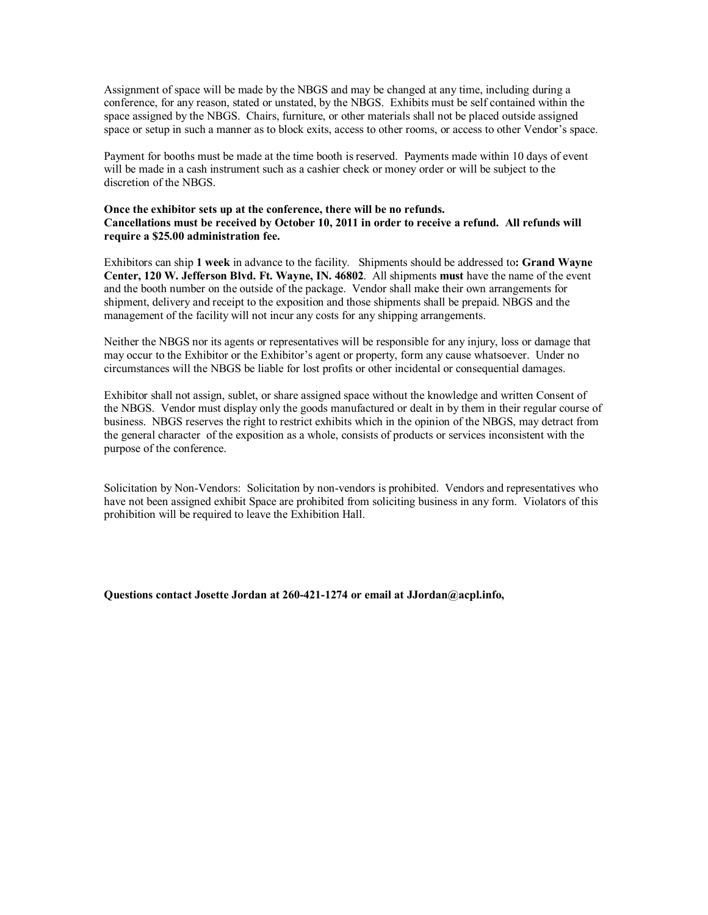Assignment of space will be made by the NBGS and may be changed at any time, including during a conference, for any reason, stated or unstated, by the NBGS. Exhibits must be self contained within the space assigned by the NBGS. Chairs, furniture, or other materials shall not be placed outside assigned space or setup in such a manner as to block exits, access to other rooms, or access to other Vendor's space.

Payment for booths must be made at the time booth is reserved. Payments made within 10 days of event will be made in a cash instrument such as a cashier check or money order or will be subject to the discretion of the NBGS.

#### **Once the exhibitor sets up at the conference, there will be no refunds. Cancellations must be received by October 10, 2011 in order to receive a refund. All refunds will require a \$25.00 administration fee.**

Exhibitors can ship **1 week** in advance to the facility. Shipments should be addressed to**: Grand Wayne Center, 120 W. Jefferson Blvd. Ft. Wayne, IN. 46802**. All shipments **must** have the name of the event and the booth number on the outside of the package. Vendor shall make their own arrangements for shipment, delivery and receipt to the exposition and those shipments shall be prepaid. NBGS and the management of the facility will not incur any costs for any shipping arrangements.

Neither the NBGS nor its agents or representatives will be responsible for any injury, loss or damage that may occur to the Exhibitor or the Exhibitor's agent or property, form any cause whatsoever. Under no circumstances will the NBGS be liable for lost profits or other incidental or consequential damages.

Exhibitor shall not assign, sublet, or share assigned space without the knowledge and written Consent of the NBGS. Vendor must display only the goods manufactured or dealt in by them in their regular course of business. NBGS reserves the right to restrict exhibits which in the opinion of the NBGS, may detract from the general character of the exposition as a whole, consists of products or services inconsistent with the purpose of the conference.

Solicitation by Non-Vendors: Solicitation by non-vendors is prohibited. Vendors and representatives who have not been assigned exhibit Space are prohibited from soliciting business in any form. Violators of this prohibition will be required to leave the Exhibition Hall.

**Questions contact Josette Jordan at 2604211274 or email at JJordan@acpl.info,**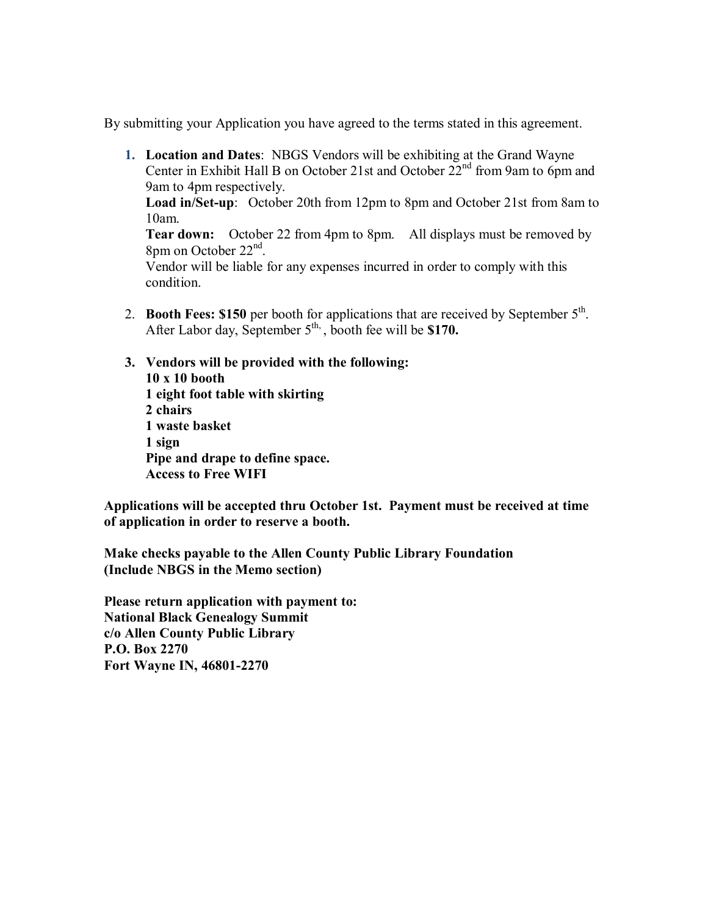By submitting your Application you have agreed to the terms stated in this agreement.

**1. Location and Dates**: NBGS Vendors will be exhibiting at the Grand Wayne Center in Exhibit Hall B on October 21st and October  $22<sup>nd</sup>$  from 9am to 6pm and 9am to 4pm respectively.

**Load in/Set-up**: October 20th from 12pm to 8pm and October 21st from 8am to 10am.

**Tear down:** October 22 from 4pm to 8pm. All displays must be removed by 8pm on October 22<sup>nd</sup>.

Vendor will be liable for any expenses incurred in order to comply with this condition.

- 2. **Booth Fees: \$150** per booth for applications that are received by September 5<sup>th</sup>. After Labor day, September 5<sup>th,</sup> booth fee will be **\$170.**
- **3. Vendors will be provided with the following: 10 x 10 booth 1 eight foot table with skirting 2 chairs 1 waste basket 1 sign Pipe and drape to define space. Access to Free WIFI**

**Applications will be accepted thru October 1st. Payment must be received at time of application in order to reserve a booth.**

**Make checks payable to the Allen County Public Library Foundation (Include NBGS in the Memo section)**

**Please return application with payment to: National Black Genealogy Summit c/o Allen County Public Library P.O. Box 2270 Fort Wayne IN, 46801-2270**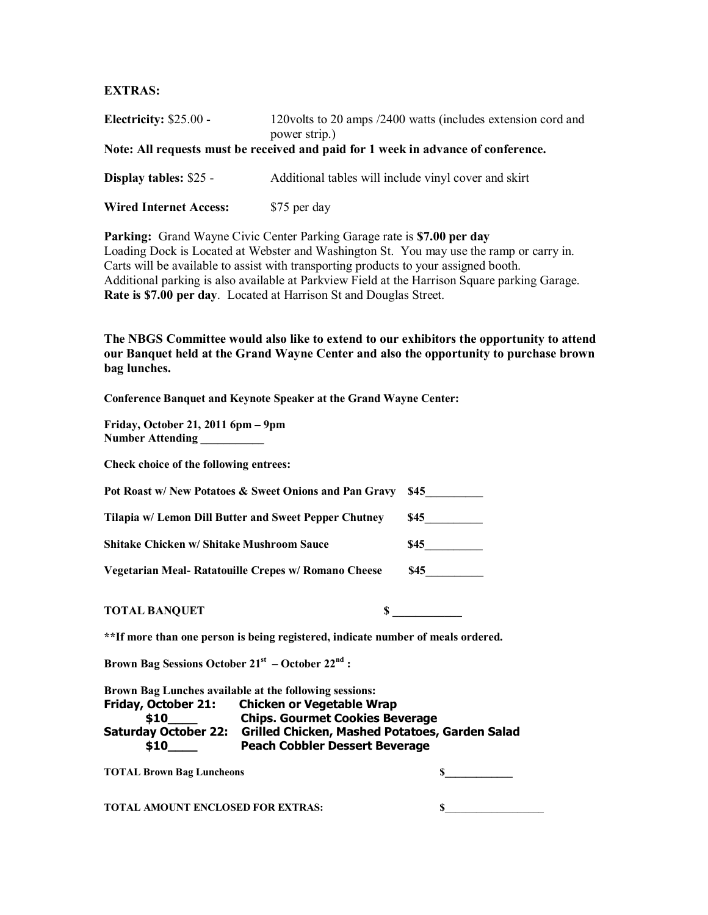### **EXTRAS:**

| Electricity: $$25.00 -$       | 120 volts to 20 amps /2400 watts (includes extension cord and<br>power strip.)    |
|-------------------------------|-----------------------------------------------------------------------------------|
|                               | Note: All requests must be received and paid for 1 week in advance of conference. |
| Display tables: \$25 -        | Additional tables will include vinyl cover and skirt                              |
| <b>Wired Internet Access:</b> | \$75 per day                                                                      |

**Parking:** Grand Wayne Civic Center Parking Garage rate is **\$7.00 per day** Loading Dock is Located at Webster and Washington St. You may use the ramp or carry in. Carts will be available to assist with transporting products to your assigned booth. Additional parking is also available at Parkview Field at the Harrison Square parking Garage. **Rate is \$7.00 per day**. Located at Harrison St and Douglas Street.

**The NBGS Committee would also like to extend to our exhibitors the opportunity to attend our Banquet held at the Grand Wayne Center and also the opportunity to purchase brown bag lunches.**

**Conference Banquet and Keynote Speaker at the Grand Wayne Center:** 

**Friday, October 21, 2011 6pm – 9pm Number Attending \_\_\_\_\_\_\_\_\_\_\_** 

**Check choice of the following entrees:** 

|                                                      | Pot Roast w/ New Potatoes & Sweet Onions and Pan Gravy                                                                                                   | - S45      |
|------------------------------------------------------|----------------------------------------------------------------------------------------------------------------------------------------------------------|------------|
|                                                      | Tilapia w/ Lemon Dill Butter and Sweet Pepper Chutney                                                                                                    | <b>S45</b> |
| Shitake Chicken w/ Shitake Mushroom Sauce            |                                                                                                                                                          | <b>S45</b> |
|                                                      | Vegetarian Meal- Ratatouille Crepes w/ Romano Cheese                                                                                                     | \$45       |
| <b>TOTAL BANQUET</b>                                 | S.                                                                                                                                                       |            |
|                                                      | **If more than one person is being registered, indicate number of meals ordered.                                                                         |            |
| Brown Bag Sessions October $21st$ – October $22nd$ : |                                                                                                                                                          |            |
|                                                      | Brown Bag Lunches available at the following sessions:<br>Friday, October 21: Chicken or Vegetable Wrap<br><sup>210</sup> Chine Courmet Cookies Reversee |            |

**\$10\_\_\_\_ Chips. Gourmet Cookies Beverage Saturday October 22: Grilled Chicken, Mashed Potatoes, Garden Salad \$10\_\_\_\_ Peach Cobbler Dessert Beverage**

**TOTAL Brown Bag Luncheons \$\_\_\_\_\_\_\_\_\_\_\_\_\_** 

**TOTAL AMOUNT ENCLOSED FOR EXTRAS: \$**\_\_\_\_\_\_\_\_\_\_\_\_\_\_\_\_\_\_\_